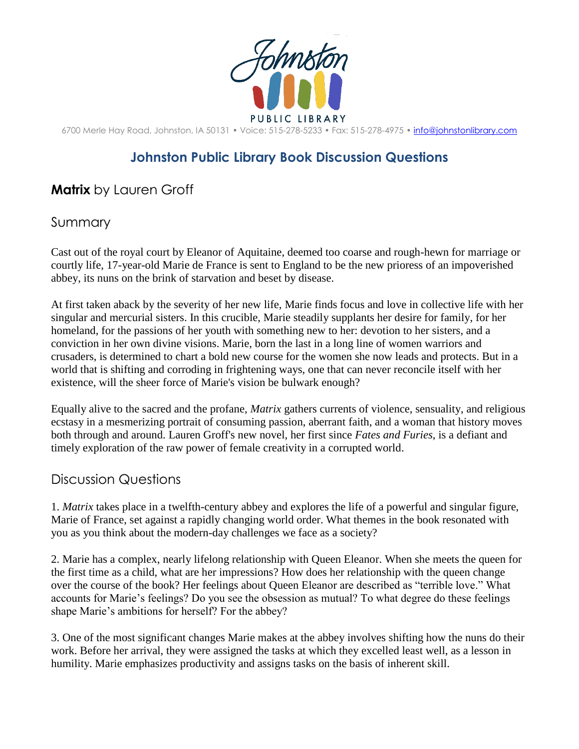

6700 Merle Hay Road, Johnston, IA 50131 • Voice: 515-278-5233 • Fax: 515-278-4975 • [info@johnstonlibrary.com](mailto:info@johnstonlibrary.com)

## **Johnston Public Library Book Discussion Questions**

## **Matrix** by Lauren Groff

## Summary

Cast out of the royal court by Eleanor of Aquitaine, deemed too coarse and rough-hewn for marriage or courtly life, 17-year-old Marie de France is sent to England to be the new prioress of an impoverished abbey, its nuns on the brink of starvation and beset by disease.

At first taken aback by the severity of her new life, Marie finds focus and love in collective life with her singular and mercurial sisters. In this crucible, Marie steadily supplants her desire for family, for her homeland, for the passions of her youth with something new to her: devotion to her sisters, and a conviction in her own divine visions. Marie, born the last in a long line of women warriors and crusaders, is determined to chart a bold new course for the women she now leads and protects. But in a world that is shifting and corroding in frightening ways, one that can never reconcile itself with her existence, will the sheer force of Marie's vision be bulwark enough?

Equally alive to the sacred and the profane, *Matrix* gathers currents of violence, sensuality, and religious ecstasy in a mesmerizing portrait of consuming passion, aberrant faith, and a woman that history moves both through and around. Lauren Groff's new novel, her first since *Fates and Furies*, is a defiant and timely exploration of the raw power of female creativity in a corrupted world.

## Discussion Questions

1. *Matrix* takes place in a twelfth-century abbey and explores the life of a powerful and singular figure, Marie of France, set against a rapidly changing world order. What themes in the book resonated with you as you think about the modern-day challenges we face as a society?

2. Marie has a complex, nearly lifelong relationship with Queen Eleanor. When she meets the queen for the first time as a child, what are her impressions? How does her relationship with the queen change over the course of the book? Her feelings about Queen Eleanor are described as "terrible love." What accounts for Marie's feelings? Do you see the obsession as mutual? To what degree do these feelings shape Marie's ambitions for herself? For the abbey?

3. One of the most significant changes Marie makes at the abbey involves shifting how the nuns do their work. Before her arrival, they were assigned the tasks at which they excelled least well, as a lesson in humility. Marie emphasizes productivity and assigns tasks on the basis of inherent skill.